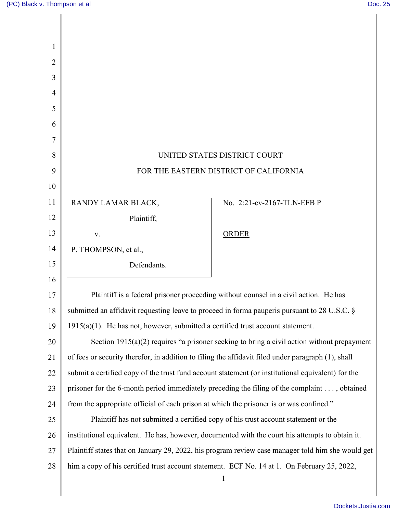| 1  |                                                                                                    |                                                                                             |
|----|----------------------------------------------------------------------------------------------------|---------------------------------------------------------------------------------------------|
| 2  |                                                                                                    |                                                                                             |
| 3  |                                                                                                    |                                                                                             |
| 4  |                                                                                                    |                                                                                             |
| 5  |                                                                                                    |                                                                                             |
| 6  |                                                                                                    |                                                                                             |
| 7  |                                                                                                    |                                                                                             |
| 8  | UNITED STATES DISTRICT COURT                                                                       |                                                                                             |
| 9  | FOR THE EASTERN DISTRICT OF CALIFORNIA                                                             |                                                                                             |
| 10 |                                                                                                    |                                                                                             |
| 11 | RANDY LAMAR BLACK,                                                                                 | No. 2:21-cv-2167-TLN-EFB P                                                                  |
| 12 | Plaintiff,                                                                                         |                                                                                             |
| 13 | V.                                                                                                 | <b>ORDER</b>                                                                                |
| 14 | P. THOMPSON, et al.,                                                                               |                                                                                             |
| 15 | Defendants.                                                                                        |                                                                                             |
| 16 |                                                                                                    |                                                                                             |
| 17 | Plaintiff is a federal prisoner proceeding without counsel in a civil action. He has               |                                                                                             |
| 18 | submitted an affidavit requesting leave to proceed in forma pauperis pursuant to 28 U.S.C. §       |                                                                                             |
| 19 | $1915(a)(1)$ . He has not, however, submitted a certified trust account statement.                 |                                                                                             |
| 20 | Section $1915(a)(2)$ requires "a prisoner seeking to bring a civil action without prepayment       |                                                                                             |
| 21 | of fees or security therefor, in addition to filing the affidavit filed under paragraph (1), shall |                                                                                             |
| 22 | submit a certified copy of the trust fund account statement (or institutional equivalent) for the  |                                                                                             |
| 23 | prisoner for the 6-month period immediately preceding the filing of the complaint , obtained       |                                                                                             |
| 24 | from the appropriate official of each prison at which the prisoner is or was confined."            |                                                                                             |
| 25 | Plaintiff has not submitted a certified copy of his trust account statement or the                 |                                                                                             |
| 26 | institutional equivalent. He has, however, documented with the court his attempts to obtain it.    |                                                                                             |
| 27 | Plaintiff states that on January 29, 2022, his program review case manager told him she would get  |                                                                                             |
| 28 |                                                                                                    | him a copy of his certified trust account statement. ECF No. 14 at 1. On February 25, 2022, |
|    |                                                                                                    | $\mathbf{1}$                                                                                |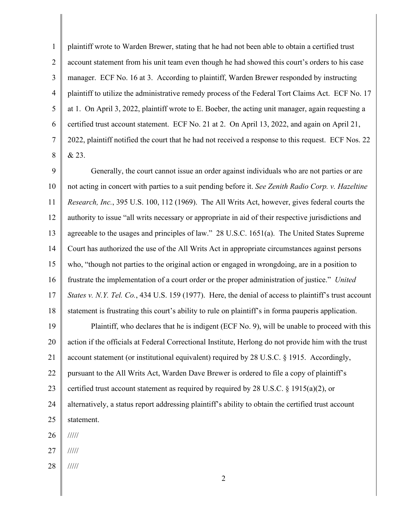1 2 3 4 5 6 7 8 plaintiff wrote to Warden Brewer, stating that he had not been able to obtain a certified trust account statement from his unit team even though he had showed this court's orders to his case manager. ECF No. 16 at 3. According to plaintiff, Warden Brewer responded by instructing plaintiff to utilize the administrative remedy process of the Federal Tort Claims Act. ECF No. 17 at 1. On April 3, 2022, plaintiff wrote to E. Boeber, the acting unit manager, again requesting a certified trust account statement. ECF No. 21 at 2. On April 13, 2022, and again on April 21, 2022, plaintiff notified the court that he had not received a response to this request. ECF Nos. 22 & 23.

9 10 11 12 13 14 15 16 17 18 19 20 21 22 23 24 25 Generally, the court cannot issue an order against individuals who are not parties or are not acting in concert with parties to a suit pending before it. *See Zenith Radio Corp. v. Hazeltine Research, Inc.*, 395 U.S. 100, 112 (1969). The All Writs Act, however, gives federal courts the authority to issue "all writs necessary or appropriate in aid of their respective jurisdictions and agreeable to the usages and principles of law." 28 U.S.C. 1651(a). The United States Supreme Court has authorized the use of the All Writs Act in appropriate circumstances against persons who, "though not parties to the original action or engaged in wrongdoing, are in a position to frustrate the implementation of a court order or the proper administration of justice." *United States v. N.Y. Tel. Co.*, 434 U.S. 159 (1977). Here, the denial of access to plaintiff's trust account statement is frustrating this court's ability to rule on plaintiff's in forma pauperis application. Plaintiff, who declares that he is indigent (ECF No. 9), will be unable to proceed with this action if the officials at Federal Correctional Institute, Herlong do not provide him with the trust account statement (or institutional equivalent) required by 28 U.S.C. § 1915. Accordingly, pursuant to the All Writs Act, Warden Dave Brewer is ordered to file a copy of plaintiff's certified trust account statement as required by required by 28 U.S.C.  $\S$  1915(a)(2), or alternatively, a status report addressing plaintiff's ability to obtain the certified trust account

26 /////

statement.

27 /////

28 /////